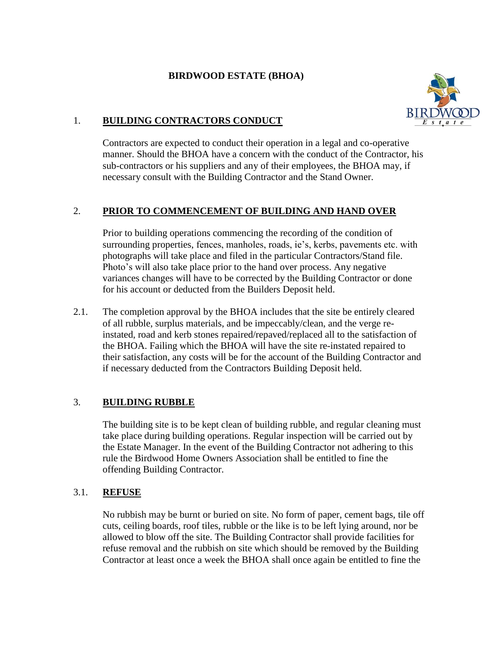## **BIRDWOOD ESTATE (BHOA)**



## 1. **BUILDING CONTRACTORS CONDUCT**

Contractors are expected to conduct their operation in a legal and co-operative manner. Should the BHOA have a concern with the conduct of the Contractor, his sub-contractors or his suppliers and any of their employees, the BHOA may, if necessary consult with the Building Contractor and the Stand Owner.

# 2. **PRIOR TO COMMENCEMENT OF BUILDING AND HAND OVER**

Prior to building operations commencing the recording of the condition of surrounding properties, fences, manholes, roads, ie's, kerbs, pavements etc. with photographs will take place and filed in the particular Contractors/Stand file. Photo's will also take place prior to the hand over process. Any negative variances changes will have to be corrected by the Building Contractor or done for his account or deducted from the Builders Deposit held.

2.1. The completion approval by the BHOA includes that the site be entirely cleared of all rubble, surplus materials, and be impeccably/clean, and the verge reinstated, road and kerb stones repaired/repaved/replaced all to the satisfaction of the BHOA. Failing which the BHOA will have the site re-instated repaired to their satisfaction, any costs will be for the account of the Building Contractor and if necessary deducted from the Contractors Building Deposit held.

## 3. **BUILDING RUBBLE**

The building site is to be kept clean of building rubble, and regular cleaning must take place during building operations. Regular inspection will be carried out by the Estate Manager. In the event of the Building Contractor not adhering to this rule the Birdwood Home Owners Association shall be entitled to fine the offending Building Contractor.

## 3.1. **REFUSE**

No rubbish may be burnt or buried on site. No form of paper, cement bags, tile off cuts, ceiling boards, roof tiles, rubble or the like is to be left lying around, nor be allowed to blow off the site. The Building Contractor shall provide facilities for refuse removal and the rubbish on site which should be removed by the Building Contractor at least once a week the BHOA shall once again be entitled to fine the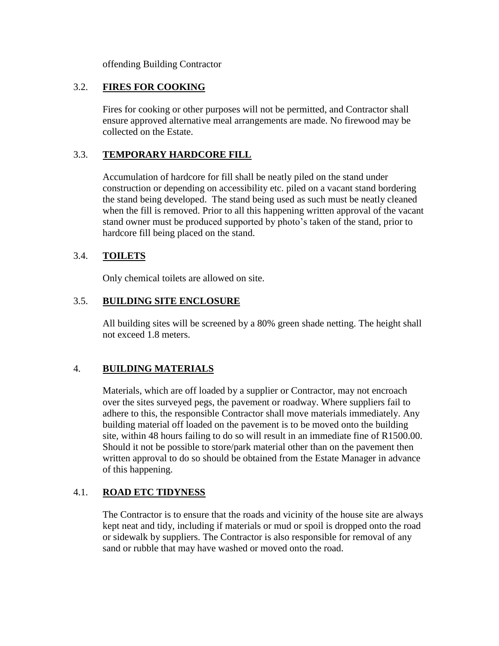offending Building Contractor

## 3.2. **FIRES FOR COOKING**

Fires for cooking or other purposes will not be permitted, and Contractor shall ensure approved alternative meal arrangements are made. No firewood may be collected on the Estate.

## 3.3. **TEMPORARY HARDCORE FILL**

Accumulation of hardcore for fill shall be neatly piled on the stand under construction or depending on accessibility etc. piled on a vacant stand bordering the stand being developed. The stand being used as such must be neatly cleaned when the fill is removed. Prior to all this happening written approval of the vacant stand owner must be produced supported by photo's taken of the stand, prior to hardcore fill being placed on the stand.

## 3.4. **TOILETS**

Only chemical toilets are allowed on site.

## 3.5. **BUILDING SITE ENCLOSURE**

All building sites will be screened by a 80% green shade netting. The height shall not exceed 1.8 meters.

## 4. **BUILDING MATERIALS**

Materials, which are off loaded by a supplier or Contractor, may not encroach over the sites surveyed pegs, the pavement or roadway. Where suppliers fail to adhere to this, the responsible Contractor shall move materials immediately. Any building material off loaded on the pavement is to be moved onto the building site, within 48 hours failing to do so will result in an immediate fine of R1500.00. Should it not be possible to store/park material other than on the pavement then written approval to do so should be obtained from the Estate Manager in advance of this happening.

## 4.1. **ROAD ETC TIDYNESS**

The Contractor is to ensure that the roads and vicinity of the house site are always kept neat and tidy, including if materials or mud or spoil is dropped onto the road or sidewalk by suppliers. The Contractor is also responsible for removal of any sand or rubble that may have washed or moved onto the road.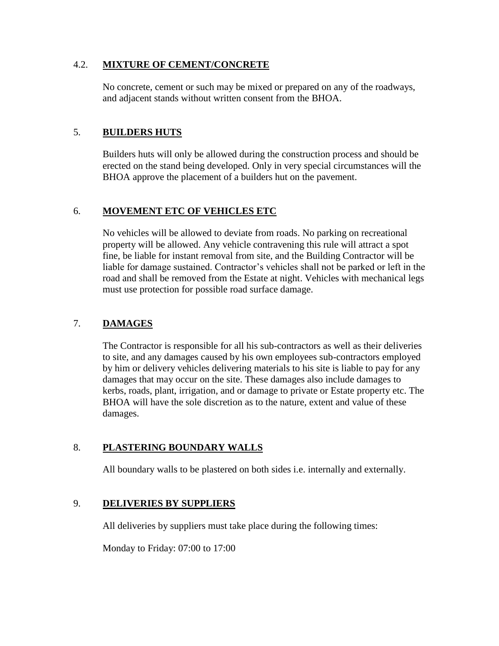#### 4.2. **MIXTURE OF CEMENT/CONCRETE**

No concrete, cement or such may be mixed or prepared on any of the roadways, and adjacent stands without written consent from the BHOA.

## 5. **BUILDERS HUTS**

Builders huts will only be allowed during the construction process and should be erected on the stand being developed. Only in very special circumstances will the BHOA approve the placement of a builders hut on the pavement.

## 6. **MOVEMENT ETC OF VEHICLES ETC**

No vehicles will be allowed to deviate from roads. No parking on recreational property will be allowed. Any vehicle contravening this rule will attract a spot fine, be liable for instant removal from site, and the Building Contractor will be liable for damage sustained. Contractor's vehicles shall not be parked or left in the road and shall be removed from the Estate at night. Vehicles with mechanical legs must use protection for possible road surface damage.

# 7. **DAMAGES**

The Contractor is responsible for all his sub-contractors as well as their deliveries to site, and any damages caused by his own employees sub-contractors employed by him or delivery vehicles delivering materials to his site is liable to pay for any damages that may occur on the site. These damages also include damages to kerbs, roads, plant, irrigation, and or damage to private or Estate property etc. The BHOA will have the sole discretion as to the nature, extent and value of these damages.

# 8. **PLASTERING BOUNDARY WALLS**

All boundary walls to be plastered on both sides i.e. internally and externally.

## 9. **DELIVERIES BY SUPPLIERS**

All deliveries by suppliers must take place during the following times:

Monday to Friday: 07:00 to 17:00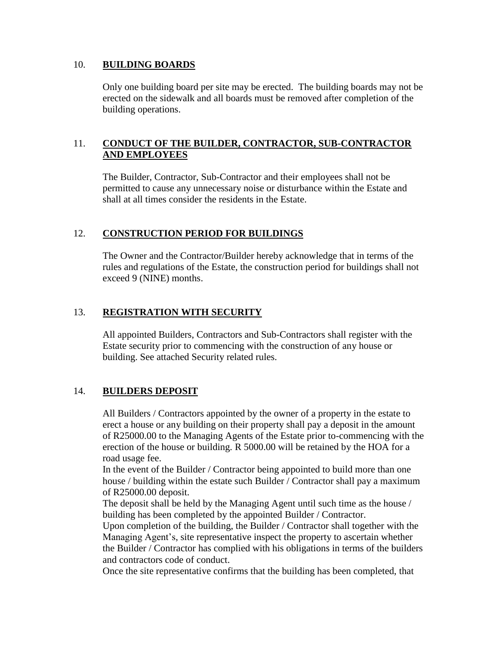#### 10. **BUILDING BOARDS**

Only one building board per site may be erected. The building boards may not be erected on the sidewalk and all boards must be removed after completion of the building operations.

## 11. **CONDUCT OF THE BUILDER, CONTRACTOR, SUB-CONTRACTOR AND EMPLOYEES**

The Builder, Contractor, Sub-Contractor and their employees shall not be permitted to cause any unnecessary noise or disturbance within the Estate and shall at all times consider the residents in the Estate.

## 12. **CONSTRUCTION PERIOD FOR BUILDINGS**

The Owner and the Contractor/Builder hereby acknowledge that in terms of the rules and regulations of the Estate, the construction period for buildings shall not exceed 9 (NINE) months.

#### 13. **REGISTRATION WITH SECURITY**

All appointed Builders, Contractors and Sub-Contractors shall register with the Estate security prior to commencing with the construction of any house or building. See attached Security related rules.

## 14. **BUILDERS DEPOSIT**

All Builders / Contractors appointed by the owner of a property in the estate to erect a house or any building on their property shall pay a deposit in the amount of R25000.00 to the Managing Agents of the Estate prior to-commencing with the erection of the house or building. R 5000.00 will be retained by the HOA for a road usage fee.

In the event of the Builder / Contractor being appointed to build more than one house / building within the estate such Builder / Contractor shall pay a maximum of R25000.00 deposit.

The deposit shall be held by the Managing Agent until such time as the house / building has been completed by the appointed Builder / Contractor.

Upon completion of the building, the Builder / Contractor shall together with the Managing Agent's, site representative inspect the property to ascertain whether the Builder / Contractor has complied with his obligations in terms of the builders and contractors code of conduct.

Once the site representative confirms that the building has been completed, that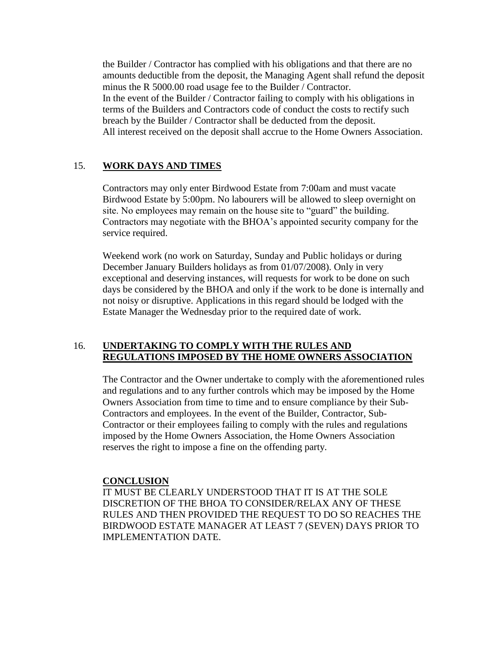the Builder / Contractor has complied with his obligations and that there are no amounts deductible from the deposit, the Managing Agent shall refund the deposit minus the R 5000.00 road usage fee to the Builder / Contractor. In the event of the Builder / Contractor failing to comply with his obligations in terms of the Builders and Contractors code of conduct the costs to rectify such breach by the Builder / Contractor shall be deducted from the deposit. All interest received on the deposit shall accrue to the Home Owners Association.

## 15. **WORK DAYS AND TIMES**

Contractors may only enter Birdwood Estate from 7:00am and must vacate Birdwood Estate by 5:00pm. No labourers will be allowed to sleep overnight on site. No employees may remain on the house site to "guard" the building. Contractors may negotiate with the BHOA's appointed security company for the service required.

Weekend work (no work on Saturday, Sunday and Public holidays or during December January Builders holidays as from 01/07/2008). Only in very exceptional and deserving instances, will requests for work to be done on such days be considered by the BHOA and only if the work to be done is internally and not noisy or disruptive. Applications in this regard should be lodged with the Estate Manager the Wednesday prior to the required date of work.

#### 16. **UNDERTAKING TO COMPLY WITH THE RULES AND REGULATIONS IMPOSED BY THE HOME OWNERS ASSOCIATION**

The Contractor and the Owner undertake to comply with the aforementioned rules and regulations and to any further controls which may be imposed by the Home Owners Association from time to time and to ensure compliance by their Sub-Contractors and employees. In the event of the Builder, Contractor, Sub-Contractor or their employees failing to comply with the rules and regulations imposed by the Home Owners Association, the Home Owners Association reserves the right to impose a fine on the offending party.

#### **CONCLUSION**

IT MUST BE CLEARLY UNDERSTOOD THAT IT IS AT THE SOLE DISCRETION OF THE BHOA TO CONSIDER/RELAX ANY OF THESE RULES AND THEN PROVIDED THE REQUEST TO DO SO REACHES THE BIRDWOOD ESTATE MANAGER AT LEAST 7 (SEVEN) DAYS PRIOR TO IMPLEMENTATION DATE.